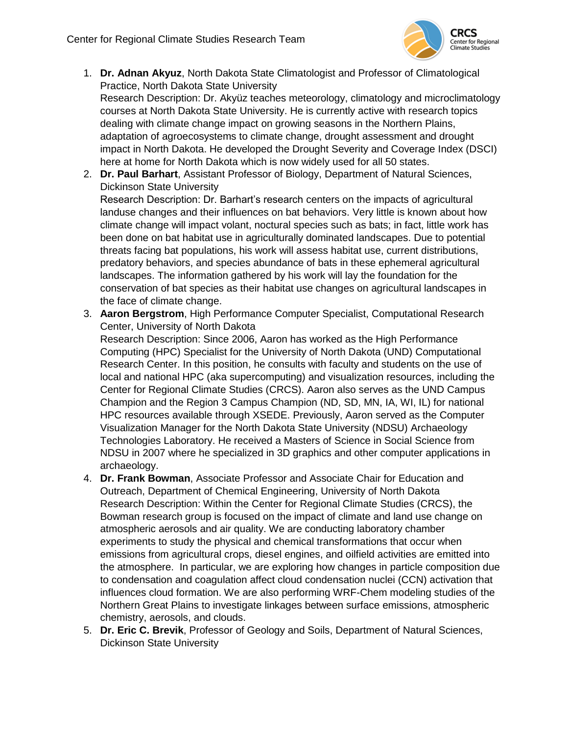

1. **Dr. Adnan Akyuz**, North Dakota State Climatologist and Professor of Climatological Practice, North Dakota State University

Research Description: Dr. Akyüz teaches meteorology, climatology and microclimatology courses at North Dakota State University. He is currently active with research topics dealing with climate change impact on growing seasons in the Northern Plains, adaptation of agroecosystems to climate change, drought assessment and drought impact in North Dakota. He developed the Drought Severity and Coverage Index (DSCI) here at home for North Dakota which is now widely used for all 50 states.

2. **Dr. Paul Barhart**, Assistant Professor of Biology, Department of Natural Sciences, Dickinson State University

Research Description: Dr. Barhart's research centers on the impacts of agricultural landuse changes and their influences on bat behaviors. Very little is known about how climate change will impact volant, noctural species such as bats; in fact, little work has been done on bat habitat use in agriculturally dominated landscapes. Due to potential threats facing bat populations, his work will assess habitat use, current distributions, predatory behaviors, and species abundance of bats in these ephemeral agricultural landscapes. The information gathered by his work will lay the foundation for the conservation of bat species as their habitat use changes on agricultural landscapes in the face of climate change.

3. **Aaron Bergstrom**, High Performance Computer Specialist, Computational Research Center, University of North Dakota

Research Description: Since 2006, Aaron has worked as the High Performance Computing (HPC) Specialist for the University of North Dakota (UND) Computational Research Center. In this position, he consults with faculty and students on the use of local and national HPC (aka supercomputing) and visualization resources, including the Center for Regional Climate Studies (CRCS). Aaron also serves as the UND Campus Champion and the Region 3 Campus Champion (ND, SD, MN, IA, WI, IL) for national HPC resources available through XSEDE. Previously, Aaron served as the Computer Visualization Manager for the North Dakota State University (NDSU) Archaeology Technologies Laboratory. He received a Masters of Science in Social Science from NDSU in 2007 where he specialized in 3D graphics and other computer applications in archaeology.

- 4. **Dr. Frank Bowman**, Associate Professor and Associate Chair for Education and Outreach, Department of Chemical Engineering, University of North Dakota Research Description: Within the Center for Regional Climate Studies (CRCS), the Bowman research group is focused on the impact of climate and land use change on atmospheric aerosols and air quality. We are conducting laboratory chamber experiments to study the physical and chemical transformations that occur when emissions from agricultural crops, diesel engines, and oilfield activities are emitted into the atmosphere. In particular, we are exploring how changes in particle composition due to condensation and coagulation affect cloud condensation nuclei (CCN) activation that influences cloud formation. We are also performing WRF-Chem modeling studies of the Northern Great Plains to investigate linkages between surface emissions, atmospheric chemistry, aerosols, and clouds.
- 5. **Dr. Eric C. Brevik**, Professor of Geology and Soils, Department of Natural Sciences, Dickinson State University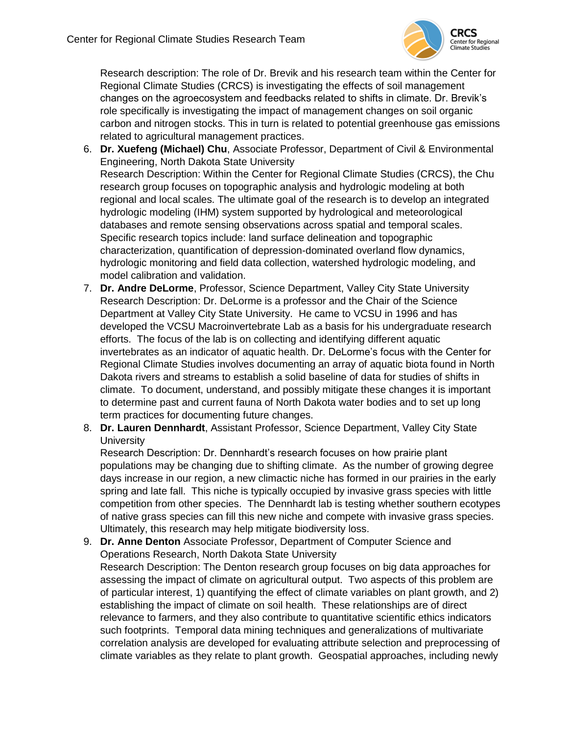

Research description: The role of Dr. Brevik and his research team within the Center for Regional Climate Studies (CRCS) is investigating the effects of soil management changes on the agroecosystem and feedbacks related to shifts in climate. Dr. Brevik's role specifically is investigating the impact of management changes on soil organic carbon and nitrogen stocks. This in turn is related to potential greenhouse gas emissions related to agricultural management practices.

- 6. **Dr. Xuefeng (Michael) Chu**, Associate Professor, Department of Civil & Environmental Engineering, North Dakota State University Research Description: Within the Center for Regional Climate Studies (CRCS), the Chu research group focuses on topographic analysis and hydrologic modeling at both regional and local scales. The ultimate goal of the research is to develop an integrated hydrologic modeling (IHM) system supported by hydrological and meteorological databases and remote sensing observations across spatial and temporal scales. Specific research topics include: land surface delineation and topographic characterization, quantification of depression-dominated overland flow dynamics, hydrologic monitoring and field data collection, watershed hydrologic modeling, and model calibration and validation.
- 7. **Dr. Andre DeLorme**, Professor, Science Department, Valley City State University Research Description: Dr. DeLorme is a professor and the Chair of the Science Department at Valley City State University. He came to VCSU in 1996 and has developed the VCSU Macroinvertebrate Lab as a basis for his undergraduate research efforts. The focus of the lab is on collecting and identifying different aquatic invertebrates as an indicator of aquatic health. Dr. DeLorme's focus with the Center for Regional Climate Studies involves documenting an array of aquatic biota found in North Dakota rivers and streams to establish a solid baseline of data for studies of shifts in climate. To document, understand, and possibly mitigate these changes it is important to determine past and current fauna of North Dakota water bodies and to set up long term practices for documenting future changes.
- 8. **Dr. Lauren Dennhardt**, Assistant Professor, Science Department, Valley City State **University**

Research Description: Dr. Dennhardt's research focuses on how prairie plant populations may be changing due to shifting climate. As the number of growing degree days increase in our region, a new climactic niche has formed in our prairies in the early spring and late fall. This niche is typically occupied by invasive grass species with little competition from other species. The Dennhardt lab is testing whether southern ecotypes of native grass species can fill this new niche and compete with invasive grass species. Ultimately, this research may help mitigate biodiversity loss.

9. **Dr. Anne Denton** Associate Professor, Department of Computer Science and Operations Research, North Dakota State University Research Description: The Denton research group focuses on big data approaches for assessing the impact of climate on agricultural output. Two aspects of this problem are of particular interest, 1) quantifying the effect of climate variables on plant growth, and 2) establishing the impact of climate on soil health. These relationships are of direct relevance to farmers, and they also contribute to quantitative scientific ethics indicators such footprints. Temporal data mining techniques and generalizations of multivariate correlation analysis are developed for evaluating attribute selection and preprocessing of climate variables as they relate to plant growth. Geospatial approaches, including newly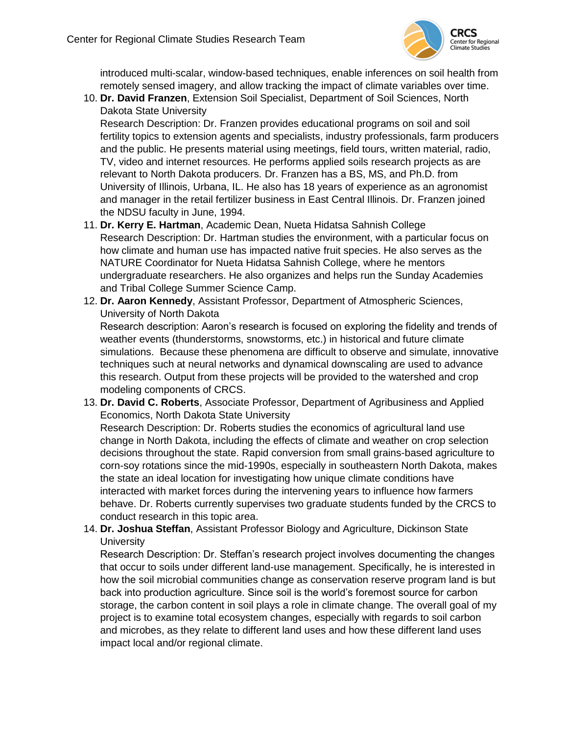

introduced multi-scalar, window-based techniques, enable inferences on soil health from remotely sensed imagery, and allow tracking the impact of climate variables over time.

10. **Dr. David Franzen**, Extension Soil Specialist, Department of Soil Sciences, North Dakota State University

Research Description: Dr. Franzen provides educational programs on soil and soil fertility topics to extension agents and specialists, industry professionals, farm producers and the public. He presents material using meetings, field tours, written material, radio, TV, video and internet resources. He performs applied soils research projects as are relevant to North Dakota producers. Dr. Franzen has a BS, MS, and Ph.D. from University of Illinois, Urbana, IL. He also has 18 years of experience as an agronomist and manager in the retail fertilizer business in East Central Illinois. Dr. Franzen joined the NDSU faculty in June, 1994.

- 11. **Dr. Kerry E. Hartman**, Academic Dean, Nueta Hidatsa Sahnish College Research Description: Dr. Hartman studies the environment, with a particular focus on how climate and human use has impacted native fruit species. He also serves as the NATURE Coordinator for Nueta Hidatsa Sahnish College, where he mentors undergraduate researchers. He also organizes and helps run the Sunday Academies and Tribal College Summer Science Camp.
- 12. **Dr. Aaron Kennedy**, Assistant Professor, Department of Atmospheric Sciences, University of North Dakota

Research description: Aaron's research is focused on exploring the fidelity and trends of weather events (thunderstorms, snowstorms, etc.) in historical and future climate simulations. Because these phenomena are difficult to observe and simulate, innovative techniques such at neural networks and dynamical downscaling are used to advance this research. Output from these projects will be provided to the watershed and crop modeling components of CRCS.

13. **Dr. David C. Roberts**, Associate Professor, Department of Agribusiness and Applied Economics, North Dakota State University

Research Description: Dr. Roberts studies the economics of agricultural land use change in North Dakota, including the effects of climate and weather on crop selection decisions throughout the state. Rapid conversion from small grains-based agriculture to corn-soy rotations since the mid-1990s, especially in southeastern North Dakota, makes the state an ideal location for investigating how unique climate conditions have interacted with market forces during the intervening years to influence how farmers behave. Dr. Roberts currently supervises two graduate students funded by the CRCS to conduct research in this topic area.

14. **Dr. Joshua Steffan**, Assistant Professor Biology and Agriculture, Dickinson State **University** 

Research Description: Dr. Steffan's research project involves documenting the changes that occur to soils under different land-use management. Specifically, he is interested in how the soil microbial communities change as conservation reserve program land is but back into production agriculture. Since soil is the world's foremost source for carbon storage, the carbon content in soil plays a role in climate change. The overall goal of my project is to examine total ecosystem changes, especially with regards to soil carbon and microbes, as they relate to different land uses and how these different land uses impact local and/or regional climate.